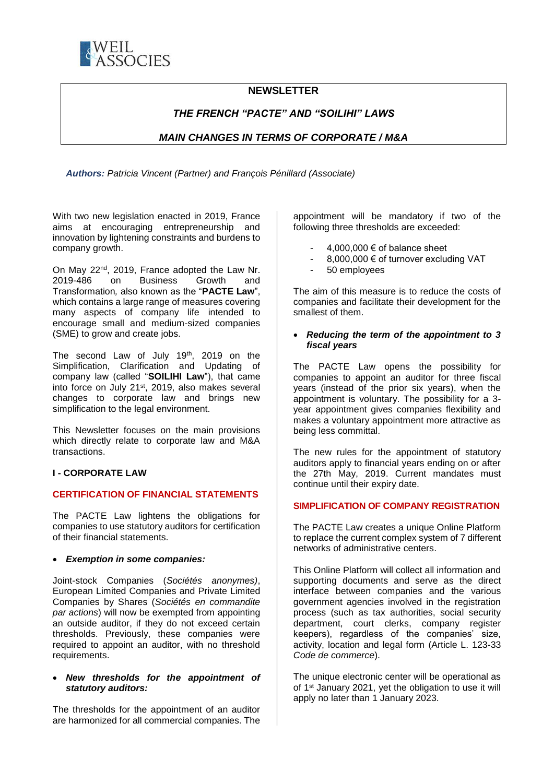

# **NEWSLETTER**

# *THE FRENCH "PACTE" AND "SOILIHI" LAWS*

# *MAIN CHANGES IN TERMS OF CORPORATE / M&A*

*Authors: Patricia Vincent (Partner) and François Pénillard (Associate)* 

With two new legislation enacted in 2019, France aims at encouraging entrepreneurship and innovation by lightening constraints and burdens to company growth.

On May  $22^{nd}$ ,  $2019$ , France adopted the Law Nr.<br> $2019-486$  on Business Growth and on Business Growth and Transformation*,* also known as the "**PACTE Law**", which contains a large range of measures covering many aspects of company life intended to encourage small and medium-sized companies (SME) to grow and create jobs.

The second Law of July 19th, 2019 on the Simplification, Clarification and Updating of company law (called "**SOILIHI Law**"), that came into force on July 21<sup>st</sup>, 2019, also makes several changes to corporate law and brings new simplification to the legal environment.

This Newsletter focuses on the main provisions which directly relate to corporate law and M&A transactions.

#### **I - CORPORATE LAW**

## **CERTIFICATION OF FINANCIAL STATEMENTS**

The PACTE Law lightens the obligations for companies to use statutory auditors for certification of their financial statements.

#### • *Exemption in some companies:*

Joint-stock Companies (*Sociétés anonymes)*, European Limited Companies and Private Limited Companies by Shares (*Sociétés en commandite par actions*) will now be exempted from appointing an outside auditor, if they do not exceed certain thresholds. Previously, these companies were required to appoint an auditor, with no threshold requirements.

#### • *New thresholds for the appointment of statutory auditors:*

The thresholds for the appointment of an auditor are harmonized for all commercial companies. The

appointment will be mandatory if two of the following three thresholds are exceeded:

- $4.000.000 \in \text{of balance sheet}$
- 8,000,000 € of turnover excluding VAT
- 50 employees

The aim of this measure is to reduce the costs of companies and facilitate their development for the smallest of them.

### • *Reducing the term of the appointment to 3 fiscal years*

The PACTE Law opens the possibility for companies to appoint an auditor for three fiscal years (instead of the prior six years), when the appointment is voluntary. The possibility for a 3 year appointment gives companies flexibility and makes a voluntary appointment more attractive as being less committal.

The new rules for the appointment of statutory auditors apply to financial years ending on or after the 27th May, 2019. Current mandates must continue until their expiry date.

#### **SIMPLIFICATION OF COMPANY REGISTRATION**

The PACTE Law creates a unique Online Platform to replace the current complex system of 7 different networks of administrative centers.

This Online Platform will collect all information and supporting documents and serve as the direct interface between companies and the various government agencies involved in the registration process (such as tax authorities, social security department, court clerks, company register keepers), regardless of the companies' size, activity, location and legal form (Article L. 123-33 *Code de commerce*).

The unique electronic center will be operational as of 1<sup>st</sup> January 2021, yet the obligation to use it will apply no later than 1 January 2023.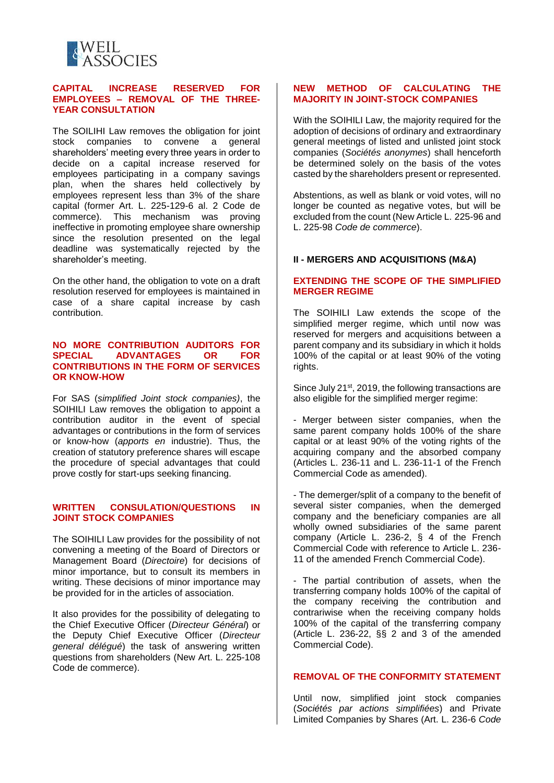

## **CAPITAL INCREASE RESERVED FOR EMPLOYEES – REMOVAL OF THE THREE-YEAR CONSULTATION**

The SOILIHI Law removes the obligation for joint stock companies to convene a general shareholders' meeting every three years in order to decide on a capital increase reserved for employees participating in a company savings plan, when the shares held collectively by employees represent less than 3% of the share capital (former Art. L. 225-129-6 al. 2 Code de commerce). This mechanism was proving ineffective in promoting employee share ownership since the resolution presented on the legal deadline was systematically rejected by the shareholder's meeting.

On the other hand, the obligation to vote on a draft resolution reserved for employees is maintained in case of a share capital increase by cash contribution.

#### **NO MORE CONTRIBUTION AUDITORS FOR SPECIAL ADVANTAGES OR FOR CONTRIBUTIONS IN THE FORM OF SERVICES OR KNOW-HOW**

For SAS (*simplified Joint stock companies)*, the SOIHILI Law removes the obligation to appoint a contribution auditor in the event of special advantages or contributions in the form of services or know-how (*apports en* industrie). Thus, the creation of statutory preference shares will escape the procedure of special advantages that could prove costly for start-ups seeking financing.

## **WRITTEN CONSULATION/QUESTIONS IN JOINT STOCK COMPANIES**

The SOIHILI Law provides for the possibility of not convening a meeting of the Board of Directors or Management Board (*Directoire*) for decisions of minor importance, but to consult its members in writing. These decisions of minor importance may be provided for in the articles of association.

It also provides for the possibility of delegating to the Chief Executive Officer (*Directeur Général*) or the Deputy Chief Executive Officer (*Directeur general délégué*) the task of answering written questions from shareholders (New Art. L. 225-108 Code de commerce).

## **NEW METHOD OF CALCULATING THE MAJORITY IN JOINT-STOCK COMPANIES**

With the SOIHILI Law, the majority required for the adoption of decisions of ordinary and extraordinary general meetings of listed and unlisted joint stock companies (*Sociétés anonymes*) shall henceforth be determined solely on the basis of the votes casted by the shareholders present or represented.

Abstentions, as well as blank or void votes, will no longer be counted as negative votes, but will be excluded from the count (New Article L. 225-96 and L. 225-98 *Code de commerce*).

# **II - MERGERS AND ACQUISITIONS (M&A)**

## **EXTENDING THE SCOPE OF THE SIMPLIFIED MERGER REGIME**

The SOIHILI Law extends the scope of the simplified merger regime, which until now was reserved for mergers and acquisitions between a parent company and its subsidiary in which it holds 100% of the capital or at least 90% of the voting rights.

Since July 21<sup>st</sup>, 2019, the following transactions are also eligible for the simplified merger regime:

- Merger between sister companies, when the same parent company holds 100% of the share capital or at least 90% of the voting rights of the acquiring company and the absorbed company (Articles L. 236-11 and L. 236-11-1 of the French Commercial Code as amended).

- The demerger/split of a company to the benefit of several sister companies, when the demerged company and the beneficiary companies are all wholly owned subsidiaries of the same parent company (Article L. 236-2, § 4 of the French Commercial Code with reference to Article L. 236- 11 of the amended French Commercial Code).

- The partial contribution of assets, when the transferring company holds 100% of the capital of the company receiving the contribution and contrariwise when the receiving company holds 100% of the capital of the transferring company (Article L. 236-22, §§ 2 and 3 of the amended Commercial Code).

## **REMOVAL OF THE CONFORMITY STATEMENT**

Until now, simplified joint stock companies (*Sociétés par actions simplifiées*) and Private Limited Companies by Shares (Art. L. 236-6 *Code*